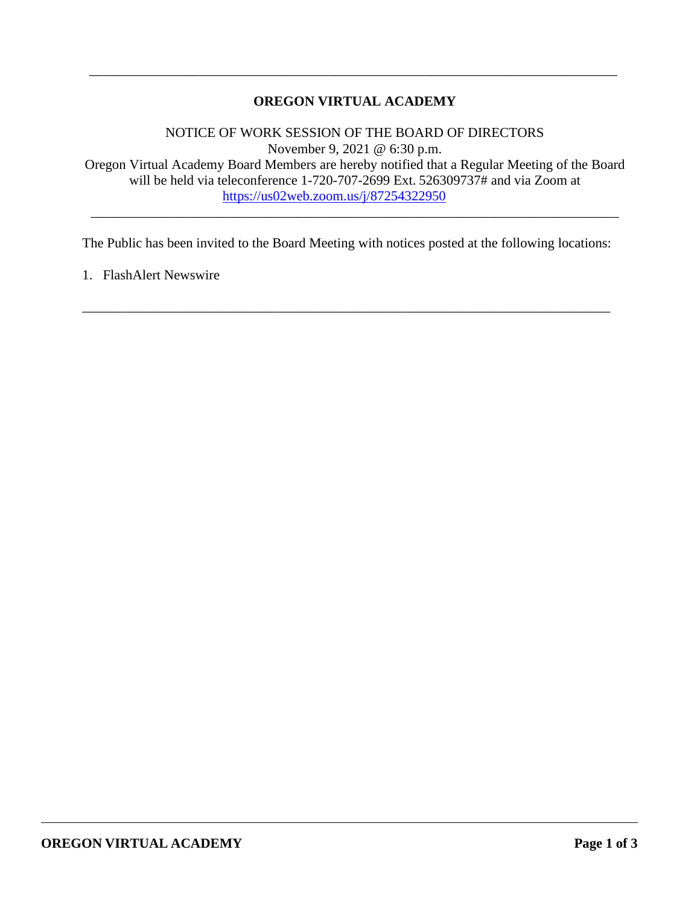# **OREGON VIRTUAL ACADEMY**

\_\_\_\_\_\_\_\_\_\_\_\_\_\_\_\_\_\_\_\_\_\_\_\_\_\_\_\_\_\_\_\_\_\_\_\_\_\_\_\_\_\_\_\_\_\_\_\_\_\_\_\_\_\_\_\_\_\_\_\_\_\_\_\_\_\_\_\_\_\_\_\_\_\_\_\_\_

NOTICE OF WORK SESSION OF THE BOARD OF DIRECTORS November 9, 2021 @ 6:30 p.m. Oregon Virtual Academy Board Members are hereby notified that a Regular Meeting of the Board will be held via teleconference 1-720-707-2699 Ext. 526309737# and via Zoom at <https://us02web.zoom.us/j/87254322950>

\_\_\_\_\_\_\_\_\_\_\_\_\_\_\_\_\_\_\_\_\_\_\_\_\_\_\_\_\_\_\_\_\_\_\_\_\_\_\_\_\_\_\_\_\_\_\_\_\_\_\_\_\_\_\_\_\_\_\_\_\_\_\_\_\_\_\_\_\_\_\_\_\_\_\_\_\_

The Public has been invited to the Board Meeting with notices posted at the following locations:

\_\_\_\_\_\_\_\_\_\_\_\_\_\_\_\_\_\_\_\_\_\_\_\_\_\_\_\_\_\_\_\_\_\_\_\_\_\_\_\_\_\_\_\_\_\_\_\_\_\_\_\_\_\_\_\_\_\_\_\_\_\_\_\_\_\_\_\_\_\_\_\_\_\_\_\_\_

1. FlashAlert Newswire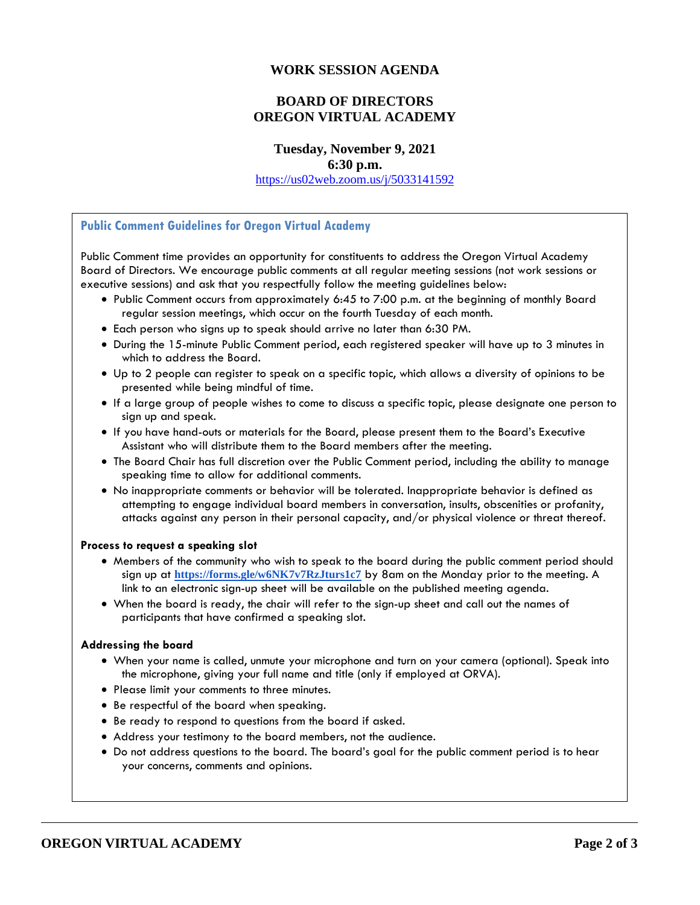## **WORK SESSION AGENDA**

# **BOARD OF DIRECTORS OREGON VIRTUAL ACADEMY**

**Tuesday, November 9, 2021 6:30 p.m.**

<https://us02web.zoom.us/j/5033141592>

#### **Public Comment Guidelines for Oregon Virtual Academy**

Public Comment time provides an opportunity for constituents to address the Oregon Virtual Academy Board of Directors. We encourage public comments at all regular meeting sessions (not work sessions or executive sessions) and ask that you respectfully follow the meeting guidelines below:

- Public Comment occurs from approximately 6:45 to 7:00 p.m. at the beginning of monthly Board regular session meetings, which occur on the fourth Tuesday of each month.
- Each person who signs up to speak should arrive no later than 6:30 PM.
- During the 15-minute Public Comment period, each registered speaker will have up to 3 minutes in which to address the Board.
- Up to 2 people can register to speak on a specific topic, which allows a diversity of opinions to be presented while being mindful of time.
- If a large group of people wishes to come to discuss a specific topic, please designate one person to sign up and speak.
- If you have hand-outs or materials for the Board, please present them to the Board's Executive Assistant who will distribute them to the Board members after the meeting.
- The Board Chair has full discretion over the Public Comment period, including the ability to manage speaking time to allow for additional comments.
- No inappropriate comments or behavior will be tolerated. Inappropriate behavior is defined as attempting to engage individual board members in conversation, insults, obscenities or profanity, attacks against any person in their personal capacity, and/or physical violence or threat thereof.

#### **Process to request a speaking slot**

- Members of the community who wish to speak to the board during the public comment period should sign up at **<https://forms.gle/w6NK7v7RzJturs1c7>** by 8am on the Monday prior to the meeting. A link to an electronic sign-up sheet will be available on the published meeting agenda.
- When the board is ready, the chair will refer to the sign-up sheet and call out the names of participants that have confirmed a speaking slot.

#### **Addressing the board**

- When your name is called, unmute your microphone and turn on your camera (optional). Speak into the microphone, giving your full name and title (only if employed at ORVA).
- Please limit your comments to three minutes.
- Be respectful of the board when speaking.
- Be ready to respond to questions from the board if asked.
- Address your testimony to the board members, not the audience.
- Do not address questions to the board. The board's goal for the public comment period is to hear your concerns, comments and opinions.